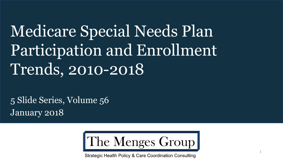# Medicare Special Needs Plan Participation and Enrollment Trends, 2010-2018

5 Slide Series, Volume 56 January 2018



Strategic Health Policy & Care Coordination Consulting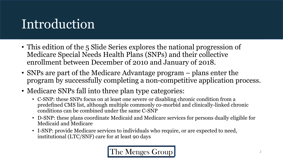## Introduction

- This edition of the 5 Slide Series explores the national progression of Medicare Special Needs Health Plans (SNPs) and their collective enrollment between December of 2010 and January of 2018.
- SNPs are part of the Medicare Advantage program plans enter the program by successfully completing a non-competitive application process.
- Medicare SNPs fall into three plan type categories:
	- C-SNP: these SNPs focus on at least one severe or disabling chronic condition from a predefined CMS list, although multiple commonly co-morbid and clinically-linked chronic conditions can be combined under the same C-SNP
	- D-SNP: these plans coordinate Medicaid and Medicare services for persons dually eligible for Medicaid and Medicare
	- I-SNP: provide Medicare services to individuals who require, or are expected to need, institutional (LTC/SNF) care for at least 90 days

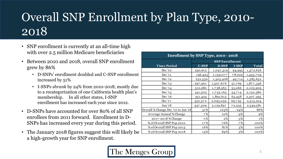## Overall SNP Enrollment by Plan Type, 2010- 2018

- SNP enrollment is currently at an all-time high with over 2.5 million Medicare beneficiaries
- Between 2010 and 2018, overall SNP enrollment grew by 86%
	- D-SNPs' enrollment doubled and C-SNP enrollment increased by 51%
	- I-SNPs *shrank* by 24% from 2010-2018, mostly due to a recategorization of one California health plan's membership. In all other states, I-SNP enrollment has increased each year since 2012.
- D-SNPs have accounted for over 80% of all SNP enrollees from 2011 forward. Enrollment in D-SNPs has increased every year during this period.
- The January 2018 figures suggest this will likely be a high-growth year for SNP enrollment.

| Enrollment by SNP Type, 2010 - 2018 |                       |              |              |              |  |  |  |
|-------------------------------------|-----------------------|--------------|--------------|--------------|--|--|--|
|                                     | <b>SNP Enrollment</b> |              |              |              |  |  |  |
| <b>Time Period</b>                  | <b>C-SNP</b>          | <b>D-SNP</b> | <b>I-SNP</b> | <b>Total</b> |  |  |  |
| Dec '10                             | 230,612               | 1,047,519    | 94,495       | 1,372,626    |  |  |  |
| Dec '11                             | 196,423               | 1,159,077    | 78,209       | 1,433,709    |  |  |  |
| Dec '12                             | 232,530               | 1,303,408    | 49,714       | 1,585,652    |  |  |  |
| Dec '13                             | 297,901               | 1,527,676    | 51,769       | 1,877,346    |  |  |  |
| Dec '14                             | 312,280               | 1,738,363    | 53,266       | 2,103,909    |  |  |  |
| Dec '15                             | 341,503               | 1,755,163    | 53,714       | 2,150,380    |  |  |  |
| Dec '16                             | 351,424               | 1,892,613    | 63,458       | 2,307,495    |  |  |  |
| Dec '17                             | 352,370               | 2,093,059    | 69,795       | 2,515,224    |  |  |  |
| Jan '18                             | 347,509               | 2,129,837    | 72,235       | 2,549,581    |  |  |  |
| Overall % Change Dec '10 to Jan '18 | 51%                   | 103%         | $-24%$       | 86%          |  |  |  |
| Average Annual % Change             | 7%                    | 10%          | $-3%$        | 9%           |  |  |  |
| 2017-2018 % Change                  | $-1\%$                | 2%           | $3\%$        | 1%           |  |  |  |
| % of Overall SNP Pop 2010           | 17%                   | 76%          | 7%           | 100%         |  |  |  |
| % of Overall SNP Pop 2013           | 16%                   | 81%          | 3%           | 100%         |  |  |  |
| % of Overall SNP Pop 2018           | 14%                   | 84%          | 3%           | 100%         |  |  |  |

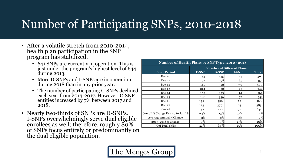### Number of Participating SNPs, 2010-2018

- After a volatile stretch from 2010-2014, health plan participation in the SNP program has stabilized.
	- 641 SNPs are currently in operation. This is just under the program's highest level of 644 during 2013.
	- More D-SNPs and I-SNPs are in operation during 2018 than in any prior year.
	- The number of participating C-SNPs declined each year from 2013-2017. However, C-SNP entities increased by 7% between 2017 and 2018.
- Nearly two-thirds of SNPs are D-SNPs. I-SNPs overwhelmingly serve dual eligible enrollees as well; therefore, roughly 80% of SNPs focus entirely or predominantly on the dual eligible population.

| Number of Health Plans by SNP Type, 2010 - 2018 |                           |       |              |              |  |  |  |
|-------------------------------------------------|---------------------------|-------|--------------|--------------|--|--|--|
|                                                 | Number of Different Plans |       |              |              |  |  |  |
| <b>Time Period</b>                              | <b>C-SNP</b>              | D-SNP | <b>I-SNP</b> | <b>Total</b> |  |  |  |
| Dec '10                                         | 153                       | 335   | 74           | 562          |  |  |  |
| Dec '11                                         | 92                        | 298   | 65           | 455          |  |  |  |
| Dec '12                                         | 115                       | 322   | 70           | 507          |  |  |  |
| Dec '13                                         | 214                       | 362   | 68           | 644          |  |  |  |
| Dec $14$                                        | 152                       | 353   | 61           | 566          |  |  |  |
| Dec '15                                         | 148                       | 336   | 57           | 541          |  |  |  |
| Dec '16                                         | 139                       | 350   | 79           | 568          |  |  |  |
| Dec '17                                         | 123                       | 377   | 83           | 583          |  |  |  |
| Jan '18                                         | 132                       | 412   | 97           | 641          |  |  |  |
| Overall % Change Dec '10 to Jan '18             | $-14%$                    | 23%   | 31%          | 14%          |  |  |  |
| Average Annual % Change                         | 3%                        | 2%    | 3%           | 2%           |  |  |  |
| 2017-2018 % Change                              | 7%                        | 9%    | 17%          | 10%          |  |  |  |
| % of Total SNPs                                 | 21%                       | 64%   | 15%          | 100%         |  |  |  |

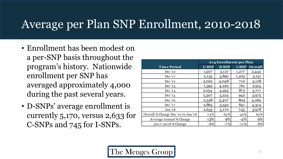#### Average per Plan SNP Enrollment, 2010-2018

- Enrollment has been modest on a per-SNP basis throughout the program's history. Nationwide enrollment per SNP has averaged approximately 4,000 during the past several years.
- D-SNPs' average enrollment is currently 5,170, versus 2,633 for C-SNPs and 745 for I-SNPs.

|                                     | Avg Enrollment per Plan |       |              |                |  |
|-------------------------------------|-------------------------|-------|--------------|----------------|--|
| Time Period                         | <b>C-SNP</b>            | D-SNP | <b>I-SNP</b> | <b>Overall</b> |  |
| Dec '10                             | 1,507                   | 3,127 | 1,277        | 2,442          |  |
| Dec '11                             | 2,135                   | 3,890 | 1,203        | 3,151          |  |
| Dec '12                             | 2,022                   | 4,048 | 710          | 3,128          |  |
| Dec '13                             | 1,392                   | 4,220 | 761          | 2,915          |  |
| Dec '14                             | 2,054                   | 4,925 | 873          | 3,717          |  |
| Dec '15                             | 2,307                   | 5,224 | 942          | 3,975          |  |
| Dec '16                             | 2,528                   | 5,407 | 803          | 4,062          |  |
| Dec '17                             | 2,865                   | 5,552 | 841          | 4,314          |  |
| Jan '18                             | 2,633                   | 5,170 | 745          | 3,978          |  |
| Overall % Change Dec '10 to Jan '18 | 75%                     | 65%   | $-42%$       | 63%            |  |
| Average Annual % Change             | 13%                     | 9%    | $-4%$        | 9%             |  |
| 2017-2018 % Change                  | $-8%$                   | $-7%$ | $-11%$       | $-8%$          |  |